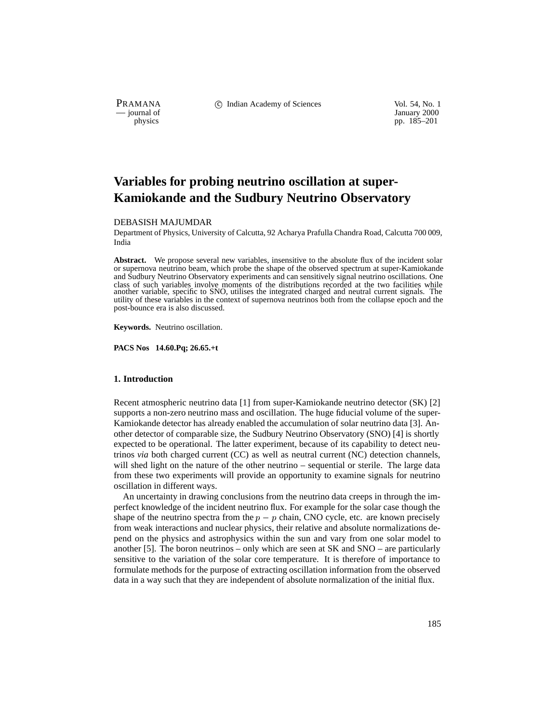PRAMANA 
<sup>C</sup> Indian Academy of Sciences 
<sup>Vol. 54, No. 1
<sup>1</sup> January 2000

<sup>2000</sup></sup>

purnal of January 2000<br>
physics pp. 185–201 pp. 185–201

# **Variables for probing neutrino oscillation at super-Kamiokande and the Sudbury Neutrino Observatory**

### DEBASISH MAJUMDAR

Department of Physics, University of Calcutta, 92 Acharya Prafulla Chandra Road, Calcutta 700 009, India

Abstract. We propose several new variables, insensitive to the absolute flux of the incident solar or supernova neutrino beam, which probe the shape of the observed spectrum at super-Kamiokande and Sudbury Neutrino Observatory experiments and can sensitively signal neutrino oscillations. One class of such variables involve moments of the distributions recorded at the two facilities while another variable, specific to SNO, utilises the integrated charged and neutral current signals. The utility of these variables in the context of supernova neutrinos both from the collapse epoch and the post-bounce era is also discussed.

**Keywords.** Neutrino oscillation.

**PACS Nos 14.60.Pq; 26.65.+t**

# **1. Introduction**

Recent atmospheric neutrino data [1] from super-Kamiokande neutrino detector (SK) [2] supports a non-zero neutrino mass and oscillation. The huge fiducial volume of the super-Kamiokande detector has already enabled the accumulation of solar neutrino data [3]. Another detector of comparable size, the Sudbury Neutrino Observatory (SNO) [4] is shortly expected to be operational. The latter experiment, because of its capability to detect neutrinos *via* both charged current (CC) as well as neutral current (NC) detection channels, will shed light on the nature of the other neutrino – sequential or sterile. The large data from these two experiments will provide an opportunity to examine signals for neutrino oscillation in different ways.

An uncertainty in drawing conclusions from the neutrino data creeps in through the imperfect knowledge of the incident neutrino flux. For example for the solar case though the shape of the neutrino spectra from the  $p - p$  chain, CNO cycle, etc. are known precisely from weak interactions and nuclear physics, their relative and absolute normalizations depend on the physics and astrophysics within the sun and vary from one solar model to another [5]. The boron neutrinos – only which are seen at SK and SNO – are particularly sensitive to the variation of the solar core temperature. It is therefore of importance to formulate methods for the purpose of extracting oscillation information from the observed data in a way such that they are independent of absolute normalization of the initial flux.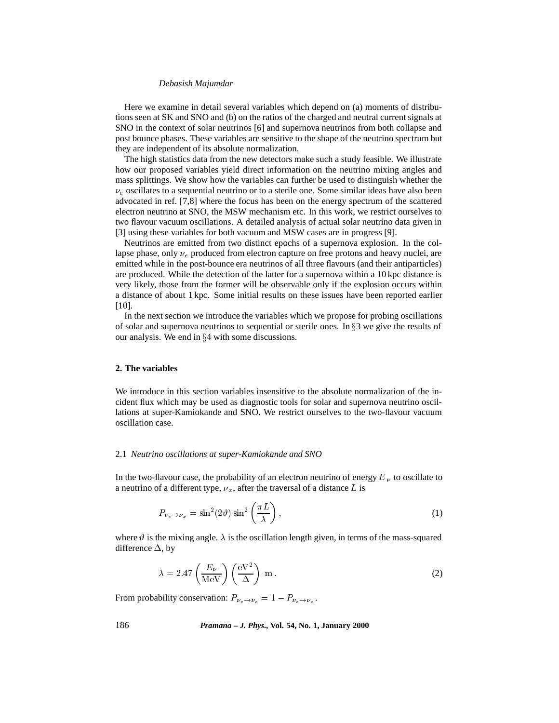Here we examine in detail several variables which depend on (a) moments of distributions seen at SK and SNO and (b) on the ratios of the charged and neutral current signals at SNO in the context of solar neutrinos [6] and supernova neutrinos from both collapse and post bounce phases. These variables are sensitive to the shape of the neutrino spectrum but they are independent of its absolute normalization.

The high statistics data from the new detectors make such a study feasible. We illustrate how our proposed variables yield direct information on the neutrino mixing angles and mass splittings. We show how the variables can further be used to distinguish whether the  $\nu_e$  oscillates to a sequential neutrino or to a sterile one. Some similar ideas have also been advocated in ref. [7,8] where the focus has been on the energy spectrum of the scattered electron neutrino at SNO, the MSW mechanism etc. In this work, we restrict ourselves to two flavour vacuum oscillations. A detailed analysis of actual solar neutrino data given in [3] using these variables for both vacuum and MSW cases are in progress [9].

Neutrinos are emitted from two distinct epochs of a supernova explosion. In the collapse phase, only  $\nu_e$  produced from electron capture on free protons and heavy nuclei, are emitted while in the post-bounce era neutrinos of all three flavours (and their antiparticles) are produced. While the detection of the latter for a supernova within a 10 kpc distance is very likely, those from the former will be observable only if the explosion occurs within a distance of about 1 kpc. Some initial results on these issues have been reported earlier [10].

In the next section we introduce the variables which we propose for probing oscillations of solar and supernova neutrinos to sequential or sterile ones. In  $\S$ 3 we give the results of our analysis. We end in  $\S 4$  with some discussions.

# **2. The variables**

We introduce in this section variables insensitive to the absolute normalization of the incident flux which may be used as diagnostic tools for solar and supernova neutrino oscillations at super-Kamiokande and SNO. We restrict ourselves to the two-flavour vacuum oscillation case.

### 2.1 *Neutrino oscillations at super-Kamiokande and SNO*

In the two-flavour case, the probability of an electron neutrino of energy  $E_{\nu}$  to oscillate to a neutrino of a different type,  $v_x$ , after the traversal of a distance L is

$$
P_{\nu_e \to \nu_x} = \sin^2(2\vartheta) \sin^2\left(\frac{\pi L}{\lambda}\right),\tag{1}
$$

where  $\vartheta$  is the mixing angle.  $\lambda$  is the oscillation length given, in terms of the mass-squared difference  $\Delta$ , by

$$
\lambda = 2.47 \left( \frac{E_{\nu}}{\text{MeV}} \right) \left( \frac{\text{eV}^2}{\Delta} \right) \text{ m}.
$$
 (2)

From probability conservation:  $P_{\nu_e \to \nu_e} = 1 - P_{\nu_e \to \nu_x}$ .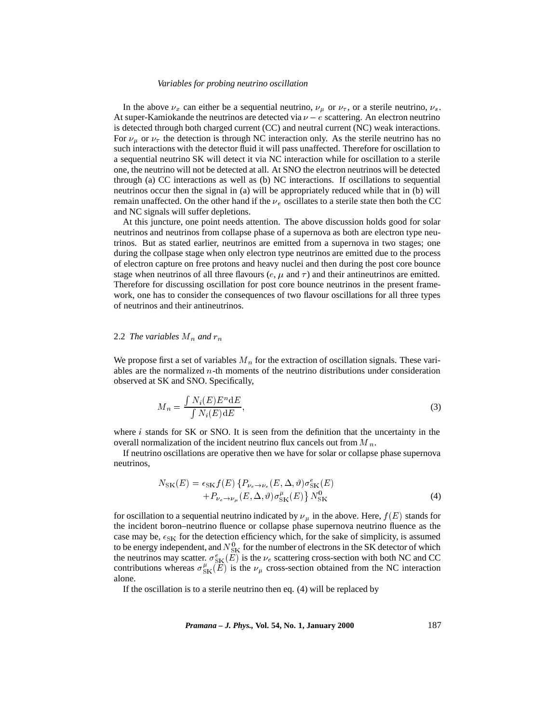In the above  $\nu_x$  can either be a sequential neutrino,  $\nu_{\mu}$  or  $\nu_{\tau}$ , or a sterile neutrino,  $\nu_s$ . At super-Kamiokande the neutrinos are detected via  $\nu - e$  scattering. An electron neutrino is detected through both charged current (CC) and neutral current (NC) weak interactions. For  $\nu_{\mu}$  or  $\nu_{\tau}$  the detection is through NC interaction only. As the sterile neutrino has no such interactions with the detector fluid it will pass unaffected. Therefore for oscillation to a sequential neutrino SK will detect it via NC interaction while for oscillation to a sterile one, the neutrino will not be detected at all. At SNO the electron neutrinos will be detected through (a) CC interactions as well as (b) NC interactions. If oscillations to sequential neutrinos occur then the signal in (a) will be appropriately reduced while that in (b) will remain unaffected. On the other hand if the  $\nu_e$  oscillates to a sterile state then both the CC and NC signals will suffer depletions.

At this juncture, one point needs attention. The above discussion holds good for solar neutrinos and neutrinos from collapse phase of a supernova as both are electron type neutrinos. But as stated earlier, neutrinos are emitted from a supernova in two stages; one during the collpase stage when only electron type neutrinos are emitted due to the process of electron capture on free protons and heavy nuclei and then during the post core bounce stage when neutrinos of all three flavours ( $e$ ,  $\mu$  and  $\tau$ ) and their antineutrinos are emitted. Therefore for discussing oscillation for post core bounce neutrinos in the present framework, one has to consider the consequences of two flavour oscillations for all three types of neutrinos and their antineutrinos.

#### 2.2 *The variables*  $M_n$  *and*  $r_n$

We propose first a set of variables  $M_n$  for the extraction of oscillation signals. These variables are the normalized  $n$ -th moments of the neutrino distributions under consideration observed at SK and SNO. Specifically,

$$
M_n = \frac{\int N_i(E)E^n \, \mathrm{d}E}{\int N_i(E) \, \mathrm{d}E},\tag{3}
$$

where  $i$  stands for SK or SNO. It is seen from the definition that the uncertainty in the overall normalization of the incident neutrino flux cancels out from  $M_n$ .

If neutrino oscillations are operative then we have for solar or collapse phase supernova neutrinos,

$$
N_{\rm SK}(E) = \epsilon_{\rm SK} f(E) \left\{ P_{\nu_e \to \nu_e}(E, \Delta, \vartheta) \sigma_{\rm SK}^e(E) + P_{\nu_e \to \nu_\mu}(E, \Delta, \vartheta) \sigma_{\rm SK}^{\mu}(E) \right\} N_{\rm SK}^0
$$
\n
$$
(4)
$$

for oscillation to a sequential neutrino indicated by  $\nu_\mu$  in the above. Here,  $f(E)$  stands for the incident boron–neutrino fluence or collapse phase supernova neutrino fluence as the case may be,  $\epsilon_{SK}$  for the detection efficiency which, for the sake of simplicity, is assumed to be energy independent, and  $N_{SK}^0$  for the number of electrons in the SK detector of which the neutrinos may scatter.  $\sigma_{SK}^e(E)$  is the  $\nu_e$  scattering cross-section with both NC and CC contributions whereas  $\sigma_{SK}^{\mu}(E)$  is the  $\nu_{\mu}$  cross-section obtained from the NC interaction alone.

If the oscillation is to a sterile neutrino then eq. (4) will be replaced by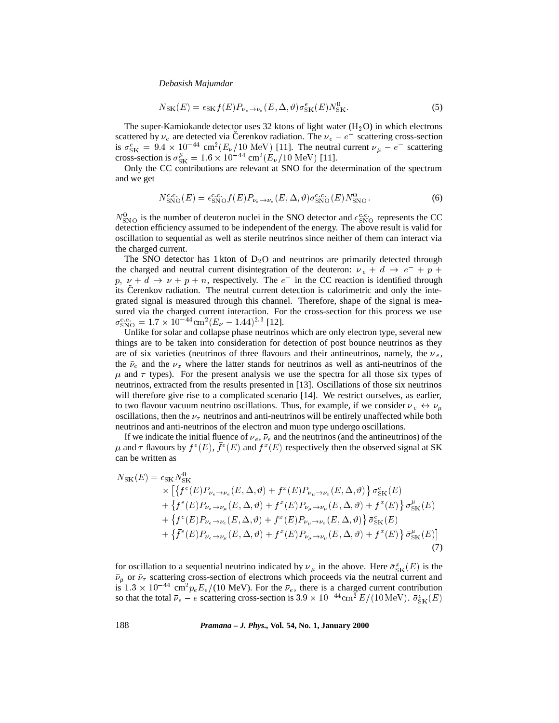$$
N_{\rm SK}(E) = \epsilon_{\rm SK} f(E) P_{\nu_e \to \nu_e}(E, \Delta, \vartheta) \sigma_{\rm SK}^e(E) N_{\rm SK}^0.
$$

The super-Kamiokande detector uses 32 ktons of light water  $(H_2O)$  in which electrons scattered by  $\nu_e$  are detected via Čerenkov radiation. The  $\nu_e - e^-$  scattering cross-section is  $\sigma_{SK}^e = 9.4 \times 10^{-44}$  cm<sup>2</sup>( $E_\nu/10$  MeV) [11]. The neutral current  $\nu_\mu - e^-$  scattering cross-section is  $\sigma_{SK}^{\mu} = 1.6 \times 10^{-44} \text{ cm}^2 (E_{\nu}/10 \text{ MeV})$  [11].

Only the CC contributions are relevant at SNO for the determination of the spectrum and we get

$$
N_{\rm SNO}^{\rm c.c.}(E) = \epsilon_{\rm SNO}^{\rm c.c.} f(E) P_{\nu_e \to \nu_e}(E, \Delta, \vartheta) \sigma_{\rm SNO}^{\rm c.c.}(E) N_{\rm SNO}^0.
$$
 (6)

 $N_{\rm SNO}^0$  is the number of deuteron nuclei in the SNO detector and  $\epsilon_{\rm SNO}^{\rm c.c.}$  represents the CC detection efficiency assumed to be independent of the energy. The above result is valid for oscillation to sequential as well as sterile neutrinos since neither of them can interact via the charged current.

The SNO detector has 1 kton of  $D_2O$  and neutrinos are primarily detected through the charged and neutral current disintegration of the deuteron:  $v_e + d \rightarrow e^- + p +$  $p, \nu + d \rightarrow \nu + p + n$ , respectively. The  $e^-$  in the CC reaction is identified through its Cerenkov radiation. The neutral current detection is calorimetric and only the integrated signal is measured through this channel. Therefore, shape of the signal is measured via the charged current interaction. For the cross-section for this process we use  $\sigma_{\rm SNO}^{\rm c.c.} = 1.7 \times 10^{-44} \rm cm^2 (E_\nu - 1.44)^{2.3}$  [12].

Unlike for solar and collapse phase neutrinos which are only electron type, several new things are to be taken into consideration for detection of post bounce neutrinos as they are of six varieties (neutrinos of three flavours and their antineutrinos, namely, the  $\nu_e$ , the  $\bar{\nu}_e$  and the  $\nu_x$  where the latter stands for neutrinos as well as anti-neutrinos of the  $\mu$  and  $\tau$  types). For the present analysis we use the spectra for all those six types of neutrinos, extracted from the results presented in [13]. Oscillations of those six neutrinos will therefore give rise to a complicated scenario [14]. We restrict ourselves, as earlier, to two flavour vacuum neutrino oscillations. Thus, for example, if we consider  $\nu_e \leftrightarrow \nu_\mu$ oscillations, then the  $\nu_{\tau}$  neutrinos and anti-neutrinos will be entirely unaffected while both neutrinos and anti-neutrinos of the electron and muon type undergo oscillations.

If we indicate the initial fluence of  $\nu_e$ ,  $\bar{\nu}_e$  and the neutrinos (and the antineutrinos) of the  $\mu$  and  $\tau$  flavours by  $f^e(E)$ ,  $f^e(E)$  and  $f^x(E)$  respectively then the observed signal at SK can be written as

$$
N_{\rm SK}(E) = \epsilon_{\rm SK} N_{\rm SK}^{\rm V} \times \left[ \left\{ f^e(E) P_{\nu_e \to \nu_e}(E, \Delta, \vartheta) + f^x(E) P_{\nu_\mu \to \nu_e}(E, \Delta, \vartheta) \right\} \sigma_{\rm SK}^e(E) \n+ \left\{ f^e(E) P_{\nu_e \to \nu_\mu}(E, \Delta, \vartheta) + f^x(E) P_{\nu_\mu \to \nu_\mu}(E, \Delta, \vartheta) + f^x(E) \right\} \sigma_{\rm SK}^\mu(E) \n+ \left\{ \bar{f}^e(E) P_{\nu_e \to \nu_e}(E, \Delta, \vartheta) + f^x(E) P_{\nu_\mu \to \nu_e}(E, \Delta, \vartheta) \right\} \bar{\sigma}_{\rm SK}^e(E) \n+ \left\{ \bar{f}^e(E) P_{\nu_e \to \nu_\mu}(E, \Delta, \vartheta) + f^x(E) P_{\nu_\mu \to \nu_\mu}(E, \Delta, \vartheta) + f^x(E) \right\} \bar{\sigma}_{\rm SK}^\mu(E) \right]
$$
\n(7)

for oscillation to a sequential neutrino indicated by  $\nu_{\mu}$  in the above. Here  $\bar{\sigma}_{SK}^{x}(E)$  is the  $\bar{\nu}_{\mu}$  or  $\bar{\nu}_{\tau}$  scattering cross-section of electrons which proceeds via the neutral current and is  $1.3 \times 10^{-44}$  cm<sup>2</sup> $p_eE_e/(10 \text{ MeV})$ . For the  $\bar{\nu}_e$ , there is a charged current contribution so that the total  $\bar{\nu}_e - e$  scattering cross-section is 3.9  $\times 10^{-44}$  cm<sup>2</sup>  $E/(10 \,\text{MeV})$ .  $\bar{\sigma}_{SK}^e(E)$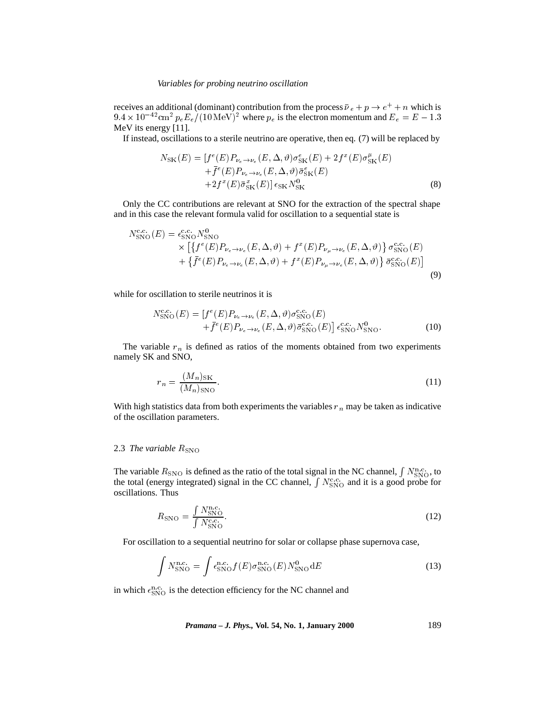receives an additional (dominant) contribution from the process  $\bar{\nu}_e + p \rightarrow e^+ + n$  which is  $9.4 \times 10^{-42}$  cm<sup>2</sup>  $p_eE_e/(10$  MeV)<sup>2</sup> where  $p_e$  is the electron momentum and  $E_e = E - 1.3$ MeV its energy [11].

If instead, oscillations to a sterile neutrino are operative, then eq. (7) will be replaced by

$$
N_{\rm SK}(E) = [f^e(E)P_{\nu_e \to \nu_e}(E, \Delta, \vartheta)\sigma_{\rm SK}^e(E) + 2f^x(E)\sigma_{\rm SK}^{\mu}(E) + \bar{f}^e(E)P_{\nu_e \to \nu_e}(E, \Delta, \vartheta)\bar{\sigma}_{\rm SK}^e(E) + 2f^x(E)\bar{\sigma}_{\rm SK}^a(E)]\epsilon_{\rm SK}N_{\rm SK}^0
$$
\n(8)

Only the CC contributions are relevant at SNO for the extraction of the spectral shape and in this case the relevant formula valid for oscillation to a sequential state is

$$
N_{\rm SNO}^{\rm c.c.}(E) = \epsilon_{\rm SNO}^{\rm c.c.} N_{\rm SNO}^0
$$
  
 
$$
\times \left[ \left\{ f^e(E) P_{\nu_e \to \nu_e}(E, \Delta, \vartheta) + f^x(E) P_{\nu_\mu \to \nu_e}(E, \Delta, \vartheta) \right\} \sigma_{\rm SNO}^{\rm c.c.}(E) + \left\{ \bar{f}^e(E) P_{\nu_e \to \nu_e}(E, \Delta, \vartheta) + f^x(E) P_{\nu_\mu \to \nu_e}(E, \Delta, \vartheta) \right\} \bar{\sigma}_{\rm SNO}^{\rm c.c.}(E) \right]
$$
(9)

while for oscillation to sterile neutrinos it is

$$
N_{\rm SNO}^{\rm c.c.}(E) = [f^e(E)P_{\nu_e \to \nu_e}(E, \Delta, \vartheta)\sigma_{\rm SNO}^{\rm c.c.}(E) + \bar{f}^e(E)P_{\nu_e \to \nu_e}(E, \Delta, \vartheta)\bar{\sigma}_{\rm SNO}^{\rm c.c.}(E)] \epsilon_{\rm SNO}^{\rm c.c.}N_{\rm SNO}^0.
$$
 (10)

The variable  $r_n$  is defined as ratios of the moments obtained from two experiments namely SK and SNO,

$$
r_n = \frac{(M_n)_{\text{SK}}}{(M_n)_{\text{SNO}}}.\tag{11}
$$

With high statistics data from both experiments the variables  $r_n$  may be taken as indicative of the oscillation parameters.

# 2.3 *The variable*  $R_{\rm SNO}$

The variable  $R_{\rm SNO}$  is defined as the ratio of the total signal in the NC channel,  $\int N_{\rm SNO}^{\rm n.c.}$ , to the total (energy integrated) signal in the CC channel,  $\int N_{\rm SNO}^{\rm c.c.}$  and it is a good probe for oscillations. Thus

$$
R_{\rm SNO} = \frac{\int N_{\rm SNO}^{\rm n.c.}}{\int N_{\rm SNO}^{\rm c.c.}}.\tag{12}
$$

For oscillation to a sequential neutrino for solar or collapse phase supernova case,

$$
\int N_{\rm SNO}^{\rm n.c.} = \int \epsilon_{\rm SNO}^{\rm n.c.} f(E) \sigma_{\rm SNO}^{\rm n.c.}(E) N_{\rm SNO}^0 dE \tag{13}
$$

in which  $\epsilon_{\rm SNO}^{\rm n.c.}$  is the detection efficiency for the NC channel and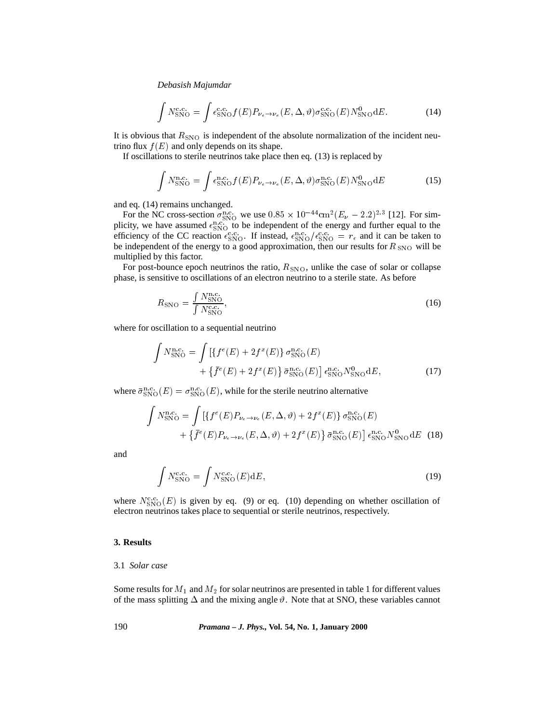$$
\int N_{\rm SNO}^{\rm c.c.} = \int \epsilon_{\rm SNO}^{\rm c.c.} f(E) P_{\nu_e \to \nu_e}(E, \Delta, \vartheta) \sigma_{\rm SNO}^{\rm c.c.}(E) N_{\rm SNO}^0 dE.
$$
 (14)

It is obvious that  $R_{\rm SNO}$  is independent of the absolute normalization of the incident neutrino flux  $f(E)$  and only depends on its shape.

If oscillations to sterile neutrinos take place then eq. (13) is replaced by

$$
\int N_{\rm SNO}^{\rm n.c.} = \int \epsilon_{\rm SNO}^{\rm n.c.} f(E) P_{\nu_e \to \nu_e}(E, \Delta, \vartheta) \sigma_{\rm SNO}^{\rm n.c.}(E) N_{\rm SNO}^0 dE \tag{15}
$$

and eq. (14) remains unchanged.

For the NC cross-section  $\sigma_{\rm SNO}^{\rm n.c.}$  we use  $0.85 \times 10^{-44}$  cm<sup>2</sup>( $E_{\nu} - 2.2$ )<sup>2.3</sup> [12]. For simplicity, we have assumed  $\epsilon_{\rm SNO}^{\rm n.c.}$  to be independent of the energy and further equal to the efficiency of the CC reaction  $\epsilon_{\rm SNO}^{\rm c.c.}$ . If instead,  $\epsilon_{\rm SNO}^{\rm n.c.}/\epsilon_{\rm SNO}^{\rm c.c.} = r_{\epsilon}$  and it can be taken to be independent of the energy to a good approximation, then our results for  $R_{SNO}$  will be multiplied by this factor.

For post-bounce epoch neutrinos the ratio,  $R_{\rm SNO}$ , unlike the case of solar or collapse phase, is sensitive to oscillations of an electron neutrino to a sterile state. As before

$$
R_{\rm SNO} = \frac{\int N_{\rm SNO}^{\rm n.c.}}{\int N_{\rm SNO}^{\rm c.c.}},\tag{16}
$$

where for oscillation to a sequential neutrino

$$
\int N_{\rm SNO}^{\rm n.c.} = \int \left[ \{ f^{e}(E) + 2f^{x}(E) \} \, \sigma_{\rm SNO}^{\rm n.c.}(E) \right. \\ \left. + \{ \bar{f}^{e}(E) + 2f^{x}(E) \} \, \bar{\sigma}_{\rm SNO}^{\rm n.c.}(E) \right] \, \epsilon_{\rm SNO}^{\rm n.c.} N_{\rm SNO}^{0} dE, \tag{17}
$$

where  $\bar{\sigma}_{\rm SNO}^{\rm n.c.}(E) = \sigma_{\rm SNO}^{\rm n.c.}(E)$ , while for the sterile neutrino alternative

$$
\int N_{\rm SNO}^{\rm n.c.} = \int \left[ \{ f^e(E) P_{\nu_e \to \nu_e}(E, \Delta, \vartheta) + 2 f^x(E) \} \, \sigma_{\rm SNO}^{\rm n.c.}(E) \right. \\
\left. + \left\{ \bar{f}^e(E) P_{\nu_e \to \nu_e}(E, \Delta, \vartheta) + 2 f^x(E) \right\} \bar{\sigma}_{\rm SNO}^{\rm n.c.}(E) \right] \, \epsilon_{\rm SNO}^{\rm n.c.} N_{\rm SNO}^0 \, dE \tag{18}
$$

and

$$
\int N_{\rm SNO}^{\rm c.c.} = \int N_{\rm SNO}^{\rm c.c.}(E) \mathrm{d}E,\tag{19}
$$

where  $N_{\rm SNO}^{\rm c.c.}(E)$  is given by eq. (9) or eq. (10) depending on whether oscillation of electron neutrinos takes place to sequential or sterile neutrinos, respectively.

# **3. Results**

# 3.1 *Solar case*

Some results for  $M_1$  and  $M_2$  for solar neutrinos are presented in table 1 for different values of the mass splitting  $\Delta$  and the mixing angle  $\vartheta$ . Note that at SNO, these variables cannot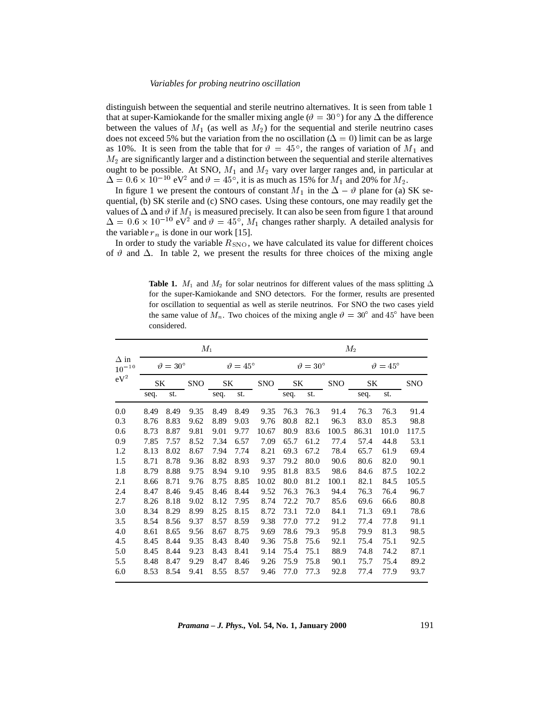distinguish between the sequential and sterile neutrino alternatives. It is seen from table 1 that at super-Kamiokande for the smaller mixing angle ( $\vartheta = 30^{\circ}$ ) for any  $\Delta$  the difference between the values of  $M_1$  (as well as  $M_2$ ) for the sequential and sterile neutrino cases does not exceed 5% but the variation from the no oscillation ( $\Delta = 0$ ) limit can be as large as 10%. It is seen from the table that for  $\vartheta = 45^{\circ}$ , the ranges of variation of  $M_1$  and  $M<sub>2</sub>$  are significantly larger and a distinction between the sequential and sterile alternatives ought to be possible. At SNO,  $M_1$  and  $M_2$  vary over larger ranges and, in particular at  $\Delta = 0.6 \times 10^{-10}$  eV<sup>2</sup> and  $\vartheta = 45^{\circ}$ , it is as much as 15% for  $M_1$  and 20% for  $M_2$ .

In figure 1 we present the contours of constant  $M_1$  in the  $\Delta - \vartheta$  plane for (a) SK sequential, (b) SK sterile and (c) SNO cases. Using these contours, one may readily get the values of  $\Delta$  and  $\vartheta$  if  $M_1$  is measured precisely. It can also be seen from figure 1 that around  $\Delta = 0.6 \times 10^{-10}$  eV<sup>2</sup> and  $\vartheta = 45^{\circ}$ ,  $M_1$  changes rather sharply. A detailed analysis for the variable  $r_n$  is done in our work [15].

In order to study the variable  $R_{\rm SNO}$ , we have calculated its value for different choices of  $\vartheta$  and  $\Delta$ . In table 2, we present the results for three choices of the mixing angle

**Table 1.**  $M_1$  and  $M_2$  for solar neutrinos for different values of the mass splitting  $\Delta$ for the super-Kamiokande and SNO detectors. For the former, results are presented for oscillation to sequential as well as sterile neutrinos. For SNO the two cases yield the same value of  $M_n$ . Two choices of the mixing angle  $\vartheta = 30^{\circ}$  and  $45^{\circ}$  have been considered.

|                           | $M_1$                |      |            |                          |      |            |                          | $M_2$ |            |                      |       |            |
|---------------------------|----------------------|------|------------|--------------------------|------|------------|--------------------------|-------|------------|----------------------|-------|------------|
| $\Delta$ in<br>$10^{-10}$ | $\vartheta=30^\circ$ |      |            | $\vartheta$ = $45^\circ$ |      |            | $\vartheta = 30^{\circ}$ |       |            | $\vartheta=45^\circ$ |       |            |
| $eV^2$                    | SΚ                   |      | <b>SNO</b> | SK                       |      | <b>SNO</b> | SΚ                       |       | <b>SNO</b> | SK                   |       | <b>SNO</b> |
|                           | seq.                 | st.  |            | seq.                     | st.  |            | seq.                     | st.   |            | seq.                 | st.   |            |
| 0.0                       | 8.49                 | 8.49 | 9.35       | 8.49                     | 8.49 | 9.35       | 76.3                     | 76.3  | 91.4       | 76.3                 | 76.3  | 91.4       |
| 0.3                       | 8.76                 | 8.83 | 9.62       | 8.89                     | 9.03 | 9.76       | 80.8                     | 82.1  | 96.3       | 83.0                 | 85.3  | 98.8       |
| 0.6                       | 8.73                 | 8.87 | 9.81       | 9.01                     | 9.77 | 10.67      | 80.9                     | 83.6  | 100.5      | 86.31                | 101.0 | 117.5      |
| 0.9                       | 7.85                 | 7.57 | 8.52       | 7.34                     | 6.57 | 7.09       | 65.7                     | 61.2  | 77.4       | 57.4                 | 44.8  | 53.1       |
| 1.2                       | 8.13                 | 8.02 | 8.67       | 7.94                     | 7.74 | 8.21       | 69.3                     | 67.2  | 78.4       | 65.7                 | 61.9  | 69.4       |
| 1.5                       | 8.71                 | 8.78 | 9.36       | 8.82                     | 8.93 | 9.37       | 79.2                     | 80.0  | 90.6       | 80.6                 | 82.0  | 90.1       |
| 1.8                       | 8.79                 | 8.88 | 9.75       | 8.94                     | 9.10 | 9.95       | 81.8                     | 83.5  | 98.6       | 84.6                 | 87.5  | 102.2      |
| 2.1                       | 8.66                 | 8.71 | 9.76       | 8.75                     | 8.85 | 10.02      | 80.0                     | 81.2  | 100.1      | 82.1                 | 84.5  | 105.5      |
| 2.4                       | 8.47                 | 8.46 | 9.45       | 8.46                     | 8.44 | 9.52       | 76.3                     | 76.3  | 94.4       | 76.3                 | 76.4  | 96.7       |
| 2.7                       | 8.26                 | 8.18 | 9.02       | 8.12                     | 7.95 | 8.74       | 72.2                     | 70.7  | 85.6       | 69.6                 | 66.6  | 80.8       |
| 3.0                       | 8.34                 | 8.29 | 8.99       | 8.25                     | 8.15 | 8.72       | 73.1                     | 72.0  | 84.1       | 71.3                 | 69.1  | 78.6       |
| 3.5                       | 8.54                 | 8.56 | 9.37       | 8.57                     | 8.59 | 9.38       | 77.0                     | 77.2  | 91.2       | 77.4                 | 77.8  | 91.1       |
| 4.0                       | 8.61                 | 8.65 | 9.56       | 8.67                     | 8.75 | 9.69       | 78.6                     | 79.3  | 95.8       | 79.9                 | 81.3  | 98.5       |
| 4.5                       | 8.45                 | 8.44 | 9.35       | 8.43                     | 8.40 | 9.36       | 75.8                     | 75.6  | 92.1       | 75.4                 | 75.1  | 92.5       |
| 5.0                       | 8.45                 | 8.44 | 9.23       | 8.43                     | 8.41 | 9.14       | 75.4                     | 75.1  | 88.9       | 74.8                 | 74.2  | 87.1       |
| 5.5                       | 8.48                 | 8.47 | 9.29       | 8.47                     | 8.46 | 9.26       | 75.9                     | 75.8  | 90.1       | 75.7                 | 75.4  | 89.2       |
| 6.0                       | 8.53                 | 8.54 | 9.41       | 8.55                     | 8.57 | 9.46       | 77.0                     | 77.3  | 92.8       | 77.4                 | 77.9  | 93.7       |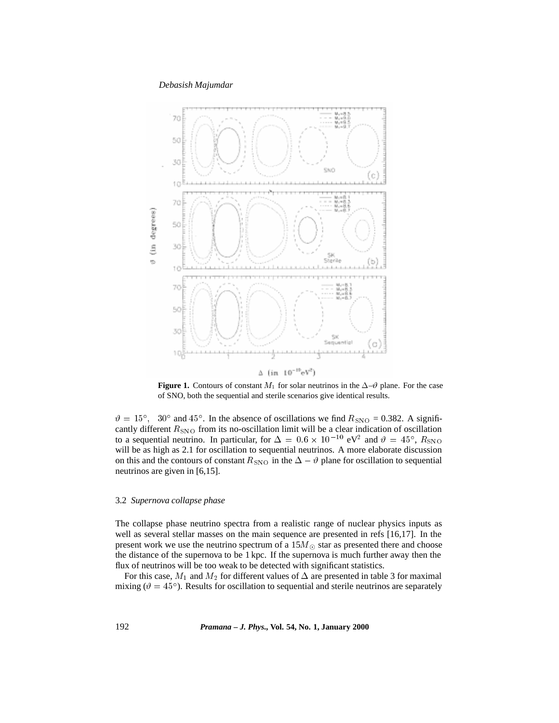

**Figure 1.** Contours of constant  $M_1$  for solar neutrinos in the  $\Delta-\theta$  plane. For the case of SNO, both the sequential and sterile scenarios give identical results.

 $\vartheta = 15^{\circ}$ , 30° and 45°. In the absence of oscillations we find  $R_{\rm SNO} = 0.382$ . A significantly different  $R_{\rm SNO}$  from its no-oscillation limit will be a clear indication of oscillation to a sequential neutrino. In particular, for  $\Delta = 0.6 \times 10^{-10}$  eV<sup>2</sup> and  $\vartheta = 45^{\circ}$ ,  $R_{\rm SNO}$ will be as high as 2.1 for oscillation to sequential neutrinos. A more elaborate discussion on this and the contours of constant  $R_{\rm SNO}$  in the  $\Delta - \vartheta$  plane for oscillation to sequential neutrinos are given in [6,15].

#### 3.2 *Supernova collapse phase*

The collapse phase neutrino spectra from a realistic range of nuclear physics inputs as well as several stellar masses on the main sequence are presented in refs [16,17]. In the present work we use the neutrino spectrum of a  $15M_{\odot}$  star as presented there and choose the distance of the supernova to be 1 kpc. If the supernova is much further away then the flux of neutrinos will be too weak to be detected with significant statistics.

For this case,  $M_1$  and  $M_2$  for different values of  $\Delta$  are presented in table 3 for maximal mixing ( $\vartheta = 45^{\circ}$ ). Results for oscillation to sequential and sterile neutrinos are separately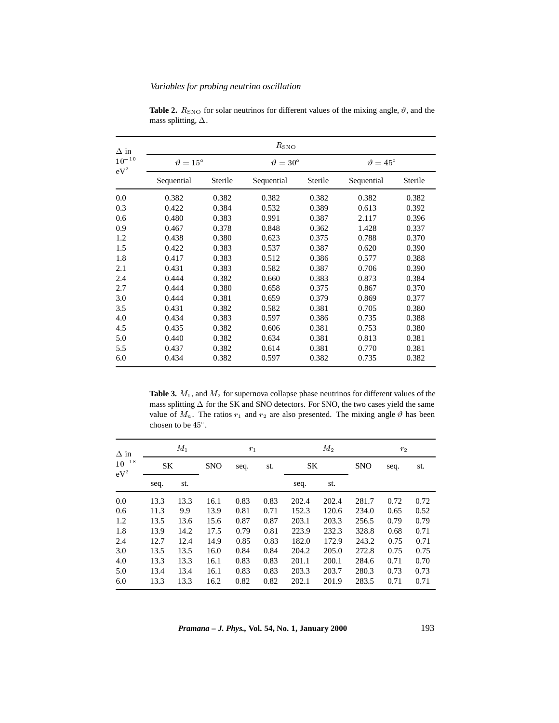| $\Delta$ in                   | $R_{\rm SNO}$            |         |                      |         |            |                          |  |  |  |  |
|-------------------------------|--------------------------|---------|----------------------|---------|------------|--------------------------|--|--|--|--|
| $10^{\mathrm{-10}}$<br>$eV^2$ | $\vartheta = 15^{\circ}$ |         | $\vartheta=30^\circ$ |         |            | $\vartheta = 45^{\circ}$ |  |  |  |  |
|                               | Sequential               | Sterile | Sequential           | Sterile | Sequential | Sterile                  |  |  |  |  |
| 0.0                           | 0.382                    | 0.382   | 0.382                | 0.382   | 0.382      | 0.382                    |  |  |  |  |
| 0.3                           | 0.422                    | 0.384   | 0.532                | 0.389   | 0.613      | 0.392                    |  |  |  |  |
| 0.6                           | 0.480                    | 0.383   | 0.991                | 0.387   | 2.117      | 0.396                    |  |  |  |  |
| 0.9                           | 0.467                    | 0.378   | 0.848                | 0.362   | 1.428      | 0.337                    |  |  |  |  |
| 1.2                           | 0.438                    | 0.380   | 0.623                | 0.375   | 0.788      | 0.370                    |  |  |  |  |
| 1.5                           | 0.422                    | 0.383   | 0.537                | 0.387   | 0.620      | 0.390                    |  |  |  |  |
| 1.8                           | 0.417                    | 0.383   | 0.512                | 0.386   | 0.577      | 0.388                    |  |  |  |  |
| 2.1                           | 0.431                    | 0.383   | 0.582                | 0.387   | 0.706      | 0.390                    |  |  |  |  |
| 2.4                           | 0.444                    | 0.382   | 0.660                | 0.383   | 0.873      | 0.384                    |  |  |  |  |
| 2.7                           | 0.444                    | 0.380   | 0.658                | 0.375   | 0.867      | 0.370                    |  |  |  |  |
| 3.0                           | 0.444                    | 0.381   | 0.659                | 0.379   | 0.869      | 0.377                    |  |  |  |  |
| 3.5                           | 0.431                    | 0.382   | 0.582                | 0.381   | 0.705      | 0.380                    |  |  |  |  |
| 4.0                           | 0.434                    | 0.383   | 0.597                | 0.386   | 0.735      | 0.388                    |  |  |  |  |
| 4.5                           | 0.435                    | 0.382   | 0.606                | 0.381   | 0.753      | 0.380                    |  |  |  |  |
| 5.0                           | 0.440                    | 0.382   | 0.634                | 0.381   | 0.813      | 0.381                    |  |  |  |  |
| 5.5                           | 0.437                    | 0.382   | 0.614                | 0.381   | 0.770      | 0.381                    |  |  |  |  |
| 6.0                           | 0.434                    | 0.382   | 0.597                | 0.382   | 0.735      | 0.382                    |  |  |  |  |

**Table 2.**  $R_{\text{SNO}}$  for solar neutrinos for different values of the mixing angle,  $\vartheta$ , and the mass splitting,  $\Delta.$ 

Table 3.  $M_1$ , and  $M_2$  for supernova collapse phase neutrinos for different values of the mass splitting  $\Delta$  for the SK and SNO detectors. For SNO, the two cases yield the same value of  $M_n$ . The ratios  $r_1$  and  $r_2$  are also presented. The mixing angle  $\vartheta$  has been chosen to be 45 .

| $\Delta$ in          |           | $M_1$ | $r_1$      |      |      |       | $M_2$ |            | r <sub>2</sub> |      |  |
|----------------------|-----------|-------|------------|------|------|-------|-------|------------|----------------|------|--|
| $10^{-18}$<br>$eV^2$ | <b>SK</b> |       | <b>SNO</b> | seq. | st.  | SK    |       | <b>SNO</b> | seq.           | st.  |  |
|                      | seq.      | st.   |            |      |      | seq.  | st.   |            |                |      |  |
| 0.0                  | 13.3      | 13.3  | 16.1       | 0.83 | 0.83 | 202.4 | 202.4 | 281.7      | 0.72           | 0.72 |  |
| 0.6                  | 11.3      | 9.9   | 13.9       | 0.81 | 0.71 | 152.3 | 120.6 | 234.0      | 0.65           | 0.52 |  |
| 1.2                  | 13.5      | 13.6  | 15.6       | 0.87 | 0.87 | 203.1 | 203.3 | 256.5      | 0.79           | 0.79 |  |
| 1.8                  | 13.9      | 14.2  | 17.5       | 0.79 | 0.81 | 223.9 | 232.3 | 328.8      | 0.68           | 0.71 |  |
| 2.4                  | 12.7      | 12.4  | 14.9       | 0.85 | 0.83 | 182.0 | 172.9 | 243.2      | 0.75           | 0.71 |  |
| 3.0                  | 13.5      | 13.5  | 16.0       | 0.84 | 0.84 | 204.2 | 205.0 | 272.8      | 0.75           | 0.75 |  |
| 4.0                  | 13.3      | 13.3  | 16.1       | 0.83 | 0.83 | 201.1 | 200.1 | 284.6      | 0.71           | 0.70 |  |
| 5.0                  | 13.4      | 13.4  | 16.1       | 0.83 | 0.83 | 203.3 | 203.7 | 280.3      | 0.73           | 0.73 |  |
| 6.0                  | 13.3      | 13.3  | 16.2       | 0.82 | 0.82 | 202.1 | 201.9 | 283.5      | 0.71           | 0.71 |  |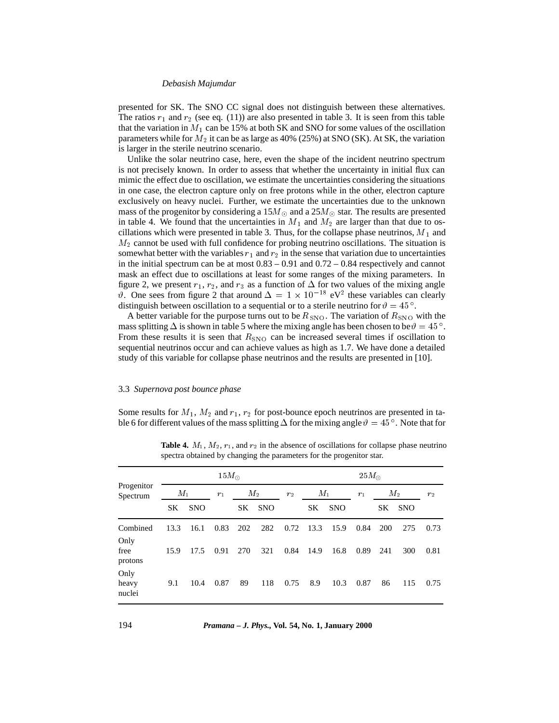presented for SK. The SNO CC signal does not distinguish between these alternatives. The ratios  $r_1$  and  $r_2$  (see eq. (11)) are also presented in table 3. It is seen from this table that the variation in  $M_1$  can be 15% at both SK and SNO for some values of the oscillation parameters while for  $M_2$  it can be as large as 40% (25%) at SNO (SK). At SK, the variation is larger in the sterile neutrino scenario.

Unlike the solar neutrino case, here, even the shape of the incident neutrino spectrum is not precisely known. In order to assess that whether the uncertainty in initial flux can mimic the effect due to oscillation, we estimate the uncertainties considering the situations in one case, the electron capture only on free protons while in the other, electron capture exclusively on heavy nuclei. Further, we estimate the uncertainties due to the unknown mass of the progenitor by considering a  $15M_{\odot}$  and a  $25M_{\odot}$  star. The results are presented in table 4. We found that the uncertainties in  $M_1$  and  $M_2$  are larger than that due to oscillations which were presented in table 3. Thus, for the collapse phase neutrinos,  $M_1$  and  $M<sub>2</sub>$  cannot be used with full confidence for probing neutrino oscillations. The situation is somewhat better with the variables  $r_1$  and  $r_2$  in the sense that variation due to uncertainties in the initial spectrum can be at most  $0.83 - 0.91$  and  $0.72 - 0.84$  respectively and cannot mask an effect due to oscillations at least for some ranges of the mixing parameters. In figure 2, we present  $r_1$ ,  $r_2$ , and  $r_3$  as a function of  $\Delta$  for two values of the mixing angle  $\vartheta$ . One sees from figure 2 that around  $\Delta = 1 \times 10^{-18}$  eV<sup>2</sup> these variables can clearly distinguish between oscillation to a sequential or to a sterile neutrino for  $\vartheta = 45^{\circ}$ .

A better variable for the purpose turns out to be  $R_{\rm SNO}$ . The variation of  $R_{\rm SNO}$  with the mass splitting  $\Delta$  is shown in table 5 where the mixing angle has been chosen to be  $\vartheta = 45^{\circ}$ . From these results it is seen that  $R_{\rm SNO}$  can be increased several times if oscillation to sequential neutrinos occur and can achieve values as high as 1.7. We have done a detailed study of this variable for collapse phase neutrinos and the results are presented in [10].

### 3.3 *Supernova post bounce phase*

Some results for  $M_1$ ,  $M_2$  and  $r_1$ ,  $r_2$  for post-bounce epoch neutrinos are presented in table 6 for different values of the mass splitting  $\Delta$  for the mixing angle  $\vartheta = 45^\circ$ . Note that for

|                         | $15M_{\odot}$ |            |                |     |            |       |      | $25M_{\odot}$  |      |            |            |      |
|-------------------------|---------------|------------|----------------|-----|------------|-------|------|----------------|------|------------|------------|------|
| Progenitor<br>Spectrum  | $M_1$         |            | $M_2$<br>$r_1$ |     | $r_2$      | $M_1$ |      | $M_2$<br>$r_1$ |      |            | $r_2$      |      |
|                         | SK            | <b>SNO</b> |                | SK. | <b>SNO</b> |       | SK.  | <b>SNO</b>     |      | SK.        | <b>SNO</b> |      |
| Combined                | 13.3          | 16.1       | 0.83           | 202 | 282        | 0.72  | 13.3 | 15.9           | 0.84 | <b>200</b> | 275        | 0.73 |
| Only<br>free<br>protons | 15.9          | 17.5       | 0.91           | 270 | 321        | 0.84  | 14.9 | 16.8           | 0.89 | 241        | 300        | 0.81 |
| Only<br>heavy<br>nuclei | 9.1           | 10.4       | 0.87           | 89  | 118        | 0.75  | 8.9  | 10.3           | 0.87 | 86         | 115        | 0.75 |

**Table 4.**  $M_1$ ,  $M_2$ ,  $r_1$ , and  $r_2$  in the absence of oscillations for collapse phase neutrino spectra obtained by changing the parameters for the progenitor star.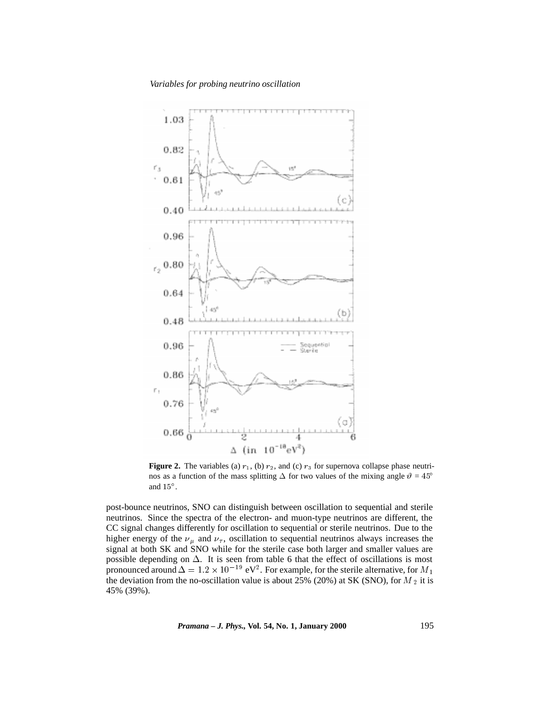

**Figure 2.** The variables (a)  $r_1$ , (b)  $r_2$ , and (c)  $r_3$  for supernova collapse phase neutrinos as a function of the mass splitting  $\Delta$  for two values of the mixing angle  $\vartheta = 45^{\circ}$ and  $15^\circ$ .

post-bounce neutrinos, SNO can distinguish between oscillation to sequential and sterile neutrinos. Since the spectra of the electron- and muon-type neutrinos are different, the CC signal changes differently for oscillation to sequential or sterile neutrinos. Due to the higher energy of the  $\nu_{\mu}$  and  $\nu_{\tau}$ , oscillation to sequential neutrinos always increases the signal at both SK and SNO while for the sterile case both larger and smaller values are possible depending on  $\Delta$ . It is seen from table 6 that the effect of oscillations is most pronounced around  $\Delta = 1.2 \times 10^{-19}$  eV<sup>2</sup>. For example, for the sterile alternative, for  $M_1$ the deviation from the no-oscillation value is about 25% (20%) at SK (SNO), for  $M_2$  it is 45% (39%).

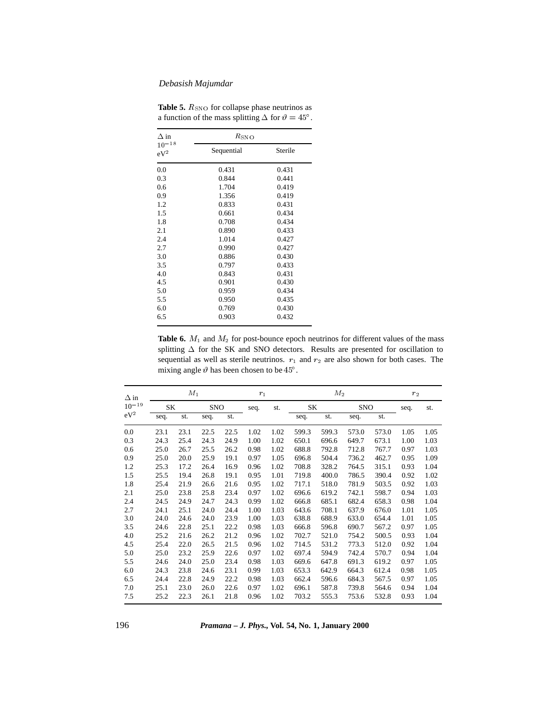| $\Delta$ in         | $R_{\rm SNO}$ |         |  |  |  |  |
|---------------------|---------------|---------|--|--|--|--|
| $10 - 18$<br>$eV^2$ | Sequential    | Sterile |  |  |  |  |
| 0.0                 | 0.431         | 0.431   |  |  |  |  |
| 0.3                 | 0.844         | 0.441   |  |  |  |  |
| 0.6                 | 1.704         | 0.419   |  |  |  |  |
| 0.9                 | 1.356         | 0.419   |  |  |  |  |
| 1.2                 | 0.833         | 0.431   |  |  |  |  |
| 1.5                 | 0.661         | 0.434   |  |  |  |  |
| 1.8                 | 0.708         | 0.434   |  |  |  |  |
| 2.1                 | 0.890         | 0.433   |  |  |  |  |
| 2.4                 | 1.014         | 0.427   |  |  |  |  |
| 2.7                 | 0.990         | 0.427   |  |  |  |  |
| 3.0                 | 0.886         | 0.430   |  |  |  |  |
| 3.5                 | 0.797         | 0.433   |  |  |  |  |
| 4.0                 | 0.843         | 0.431   |  |  |  |  |
| 4.5                 | 0.901         | 0.430   |  |  |  |  |
| 5.0                 | 0.959         | 0.434   |  |  |  |  |
| 5.5                 | 0.950         | 0.435   |  |  |  |  |
| 6.0                 | 0.769         | 0.430   |  |  |  |  |
| 6.5                 | 0.903         | 0.432   |  |  |  |  |

**Table 5.**  $R_{\text{SNO}}$  for collapse phase neutrinos as a function of the mass splitting  $\Delta$  for  $\vartheta = 45^{\circ}$ .

**Table 6.**  $M_1$  and  $M_2$  for post-bounce epoch neutrinos for different values of the mass splitting  $\Delta$  for the SK and SNO detectors. Results are presented for oscillation to sequential as well as sterile neutrinos.  $r_1$  and  $r_2$  are also shown for both cases. The mixing angle  $\vartheta$  has been chosen to be 45<sup>°</sup>.

| $\Delta$ in | $M_1$     |      |            | $r_1$ |      | $M_2$ |       |       |            | r <sub>2</sub> |      |      |
|-------------|-----------|------|------------|-------|------|-------|-------|-------|------------|----------------|------|------|
| $10^{-19}$  | <b>SK</b> |      | <b>SNO</b> |       | seq. | st.   | SK    |       | <b>SNO</b> |                | seq. | st.  |
| $eV^2$      | seq.      | st.  | seq.       | st.   |      |       | seq.  | st.   | seq.       | st.            |      |      |
| 0.0         | 23.1      | 23.1 | 22.5       | 22.5  | 1.02 | 1.02  | 599.3 | 599.3 | 573.0      | 573.0          | 1.05 | 1.05 |
| 0.3         | 24.3      | 25.4 | 24.3       | 24.9  | 1.00 | 1.02  | 650.1 | 696.6 | 649.7      | 673.1          | 1.00 | 1.03 |
| 0.6         | 25.0      | 26.7 | 25.5       | 26.2  | 0.98 | 1.02  | 688.8 | 792.8 | 712.8      | 767.7          | 0.97 | 1.03 |
| 0.9         | 25.0      | 20.0 | 25.9       | 19.1  | 0.97 | 1.05  | 696.8 | 504.4 | 736.2      | 462.7          | 0.95 | 1.09 |
| 1.2         | 25.3      | 17.2 | 26.4       | 16.9  | 0.96 | 1.02  | 708.8 | 328.2 | 764.5      | 315.1          | 0.93 | 1.04 |
| 1.5         | 25.5      | 19.4 | 26.8       | 19.1  | 0.95 | 1.01  | 719.8 | 400.0 | 786.5      | 390.4          | 0.92 | 1.02 |
| 1.8         | 25.4      | 21.9 | 26.6       | 21.6  | 0.95 | 1.02  | 717.1 | 518.0 | 781.9      | 503.5          | 0.92 | 1.03 |
| 2.1         | 25.0      | 23.8 | 25.8       | 23.4  | 0.97 | 1.02  | 696.6 | 619.2 | 742.1      | 598.7          | 0.94 | 1.03 |
| 2.4         | 24.5      | 24.9 | 24.7       | 24.3  | 0.99 | 1.02  | 666.8 | 685.1 | 682.4      | 658.3          | 0.98 | 1.04 |
| 2.7         | 24.1      | 25.1 | 24.0       | 24.4  | 1.00 | 1.03  | 643.6 | 708.1 | 637.9      | 676.0          | 1.01 | 1.05 |
| 3.0         | 24.0      | 24.6 | 24.0       | 23.9  | 1.00 | 1.03  | 638.8 | 688.9 | 633.0      | 654.4          | 1.01 | 1.05 |
| 3.5         | 24.6      | 22.8 | 25.1       | 22.2  | 0.98 | 1.03  | 666.8 | 596.8 | 690.7      | 567.2          | 0.97 | 1.05 |
| 4.0         | 25.2      | 21.6 | 26.2       | 21.2  | 0.96 | 1.02  | 702.7 | 521.0 | 754.2      | 500.5          | 0.93 | 1.04 |
| 4.5         | 25.4      | 22.0 | 26.5       | 21.5  | 0.96 | 1.02  | 714.5 | 531.2 | 773.3      | 512.0          | 0.92 | 1.04 |
| 5.0         | 25.0      | 23.2 | 25.9       | 22.6  | 0.97 | 1.02  | 697.4 | 594.9 | 742.4      | 570.7          | 0.94 | 1.04 |
| 5.5         | 24.6      | 24.0 | 25.0       | 23.4  | 0.98 | 1.03  | 669.6 | 647.8 | 691.3      | 619.2          | 0.97 | 1.05 |
| 6.0         | 24.3      | 23.8 | 24.6       | 23.1  | 0.99 | 1.03  | 653.3 | 642.9 | 664.3      | 612.4          | 0.98 | 1.05 |
| 6.5         | 24.4      | 22.8 | 24.9       | 22.2  | 0.98 | 1.03  | 662.4 | 596.6 | 684.3      | 567.5          | 0.97 | 1.05 |
| 7.0         | 25.1      | 23.0 | 26.0       | 22.6  | 0.97 | 1.02  | 696.1 | 587.8 | 739.8      | 564.6          | 0.94 | 1.04 |
| 7.5         | 25.2      | 22.3 | 26.1       | 21.8  | 0.96 | 1.02  | 703.2 | 555.3 | 753.6      | 532.8          | 0.93 | 1.04 |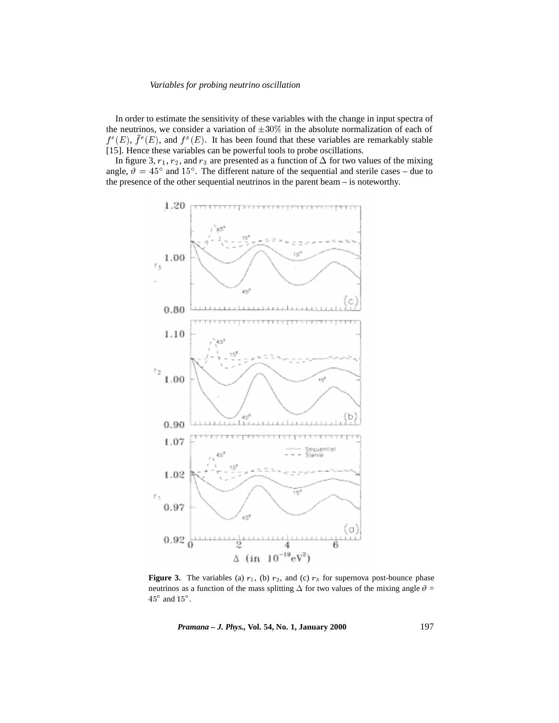In order to estimate the sensitivity of these variables with the change in input spectra of the neutrinos, we consider a variation of  $\pm 30\%$  in the absolute normalization of each of  $f^e(E)$ ,  $f^e(E)$ , and  $f^x(E)$ . It has been found that these variables are remarkably stable [15]. Hence these variables can be powerful tools to probe oscillations.

In figure 3,  $r_1$ ,  $r_2$ , and  $r_3$  are presented as a function of  $\Delta$  for two values of the mixing angle,  $\vartheta = 45^{\circ}$  and 15°. The different nature of the sequential and sterile cases – due to the presence of the other sequential neutrinos in the parent beam – is noteworthy.



**Figure 3.** The variables (a)  $r_1$ , (b)  $r_2$ , and (c)  $r_3$  for supernova post-bounce phase neutrinos as a function of the mass splitting  $\Delta$  for two values of the mixing angle  $\vartheta$  =  $45^{\circ}$  and  $15^{\circ}$ .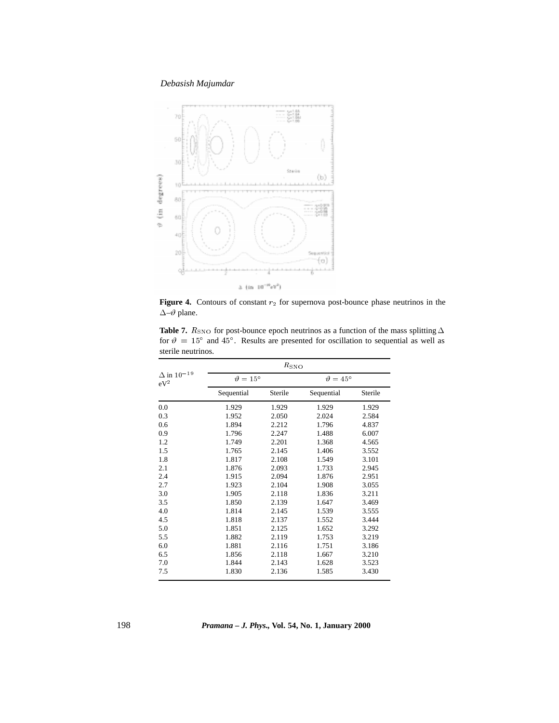

**Figure 4.** Contours of constant  $r_2$  for supernova post-bounce phase neutrinos in the  $\Delta{-}\vartheta$  plane.

|                                  |                          | $R_{\rm SNO}$ |                          |         |  |  |  |  |
|----------------------------------|--------------------------|---------------|--------------------------|---------|--|--|--|--|
| $\Delta$ in $10^{-19}$<br>$eV^2$ | $\vartheta = 15^{\circ}$ |               | $\vartheta = 45^{\circ}$ |         |  |  |  |  |
|                                  | Sequential               | Sterile       | Sequential               | Sterile |  |  |  |  |
| 0.0                              | 1.929                    | 1.929         | 1.929                    | 1.929   |  |  |  |  |
| 0.3                              | 1.952                    | 2.050         | 2.024                    | 2.584   |  |  |  |  |
| 0.6                              | 1.894                    | 2.212         | 1.796                    | 4.837   |  |  |  |  |
| 0.9                              | 1.796                    | 2.247         | 1.488                    | 6.007   |  |  |  |  |
| 1.2                              | 1.749                    | 2.201         | 1.368                    | 4.565   |  |  |  |  |
| 1.5                              | 1.765                    | 2.145         | 1.406                    | 3.552   |  |  |  |  |
| 1.8                              | 1.817                    | 2.108         | 1.549                    | 3.101   |  |  |  |  |
| 2.1                              | 1.876                    | 2.093         | 1.733                    | 2.945   |  |  |  |  |
| 2.4                              | 1.915                    | 2.094         | 1.876                    | 2.951   |  |  |  |  |
| 2.7                              | 1.923                    | 2.104         | 1.908                    | 3.055   |  |  |  |  |
| 3.0                              | 1.905                    | 2.118         | 1.836                    | 3.211   |  |  |  |  |
| 3.5                              | 1.850                    | 2.139         | 1.647                    | 3.469   |  |  |  |  |
| 4.0                              | 1.814                    | 2.145         | 1.539                    | 3.555   |  |  |  |  |
| 4.5                              | 1.818                    | 2.137         | 1.552                    | 3.444   |  |  |  |  |
| 5.0                              | 1.851                    | 2.125         | 1.652                    | 3.292   |  |  |  |  |
| 5.5                              | 1.882                    | 2.119         | 1.753                    | 3.219   |  |  |  |  |
| 6.0                              | 1.881                    | 2.116         | 1.751                    | 3.186   |  |  |  |  |
| 6.5                              | 1.856                    | 2.118         | 1.667                    | 3.210   |  |  |  |  |
| 7.0                              | 1.844                    | 2.143         | 1.628                    | 3.523   |  |  |  |  |
| 7.5                              | 1.830                    | 2.136         | 1.585                    | 3.430   |  |  |  |  |

**Table 7.**  $R_{\rm SNO}$  for post-bounce epoch neutrinos as a function of the mass splitting  $\Delta$ for  $\vartheta = 15^{\circ}$  and  $45^{\circ}$ . Results are presented for oscillation to sequential as well as sterile neutrinos.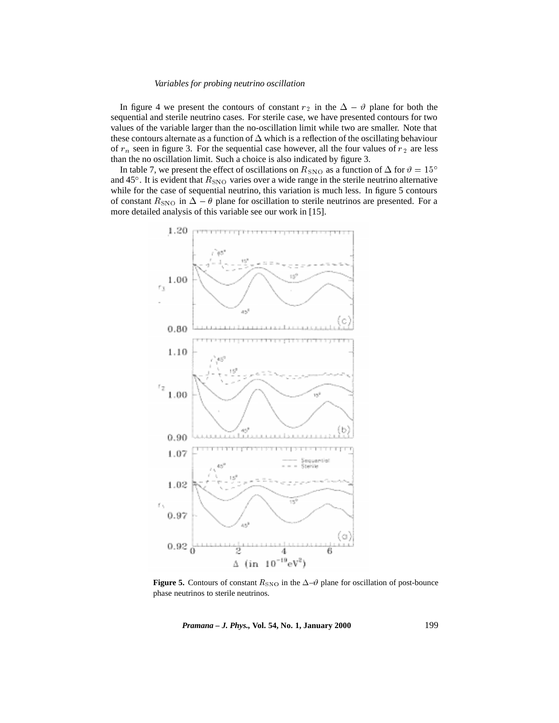In figure 4 we present the contours of constant  $r_2$  in the  $\Delta - \vartheta$  plane for both the sequential and sterile neutrino cases. For sterile case, we have presented contours for two values of the variable larger than the no-oscillation limit while two are smaller. Note that these contours alternate as a function of  $\Delta$  which is a reflection of the oscillating behaviour of  $r_n$  seen in figure 3. For the sequential case however, all the four values of  $r_2$  are less than the no oscillation limit. Such a choice is also indicated by figure 3.

In table 7, we present the effect of oscillations on  $R_{\rm SNO}$  as a function of  $\Delta$  for  $\vartheta = 15^{\circ}$ and 45°. It is evident that  $R_{\rm SNO}$  varies over a wide range in the sterile neutrino alternative while for the case of sequential neutrino, this variation is much less. In figure 5 contours of constant  $R_{\rm SNO}$  in  $\Delta - \theta$  plane for oscillation to sterile neutrinos are presented. For a more detailed analysis of this variable see our work in [15].



**Figure 5.** Contours of constant  $R_{\text{SNO}}$  in the  $\Delta-\vartheta$  plane for oscillation of post-bounce phase neutrinos to sterile neutrinos.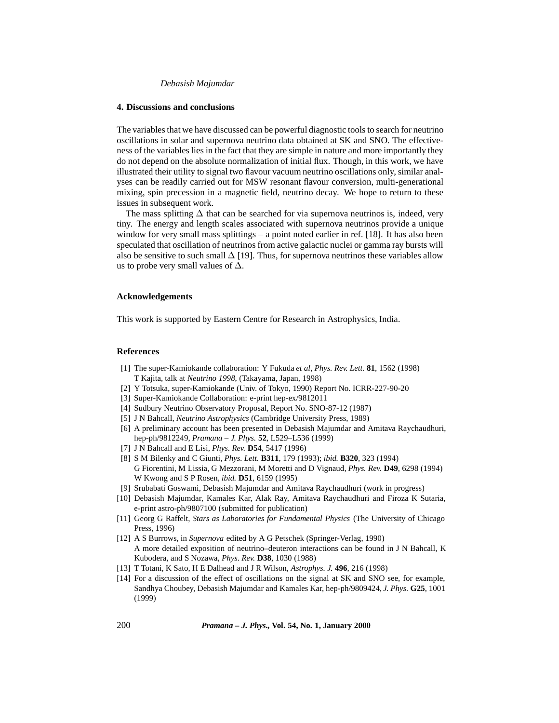### **4. Discussions and conclusions**

The variables that we have discussed can be powerful diagnostic tools to search for neutrino oscillations in solar and supernova neutrino data obtained at SK and SNO. The effectiveness of the variables lies in the fact that they are simple in nature and more importantly they do not depend on the absolute normalization of initial flux. Though, in this work, we have illustrated their utility to signal two flavour vacuum neutrino oscillations only, similar analyses can be readily carried out for MSW resonant flavour conversion, multi-generational mixing, spin precession in a magnetic field, neutrino decay. We hope to return to these issues in subsequent work.

The mass splitting  $\Delta$  that can be searched for via supernova neutrinos is, indeed, very tiny. The energy and length scales associated with supernova neutrinos provide a unique window for very small mass splittings – a point noted earlier in ref. [18]. It has also been speculated that oscillation of neutrinos from active galactic nuclei or gamma ray bursts will also be sensitive to such small  $\Delta$  [19]. Thus, for supernova neutrinos these variables allow us to probe very small values of  $\Delta$ .

# **Acknowledgements**

This work is supported by Eastern Centre for Research in Astrophysics, India.

# **References**

- [1] The super-Kamiokande collaboration: Y Fukuda *et al*, *Phys. Rev. Lett.* **81**, 1562 (1998) T Kajita, talk at *Neutrino 1998*, (Takayama, Japan, 1998)
- [2] Y Totsuka, super-Kamiokande (Univ. of Tokyo, 1990) Report No. ICRR-227-90-20
- [3] Super-Kamiokande Collaboration: e-print hep-ex/9812011
- [4] Sudbury Neutrino Observatory Proposal, Report No. SNO-87-12 (1987)
- [5] J N Bahcall, *Neutrino Astrophysics* (Cambridge University Press, 1989)
- [6] A preliminary account has been presented in Debasish Majumdar and Amitava Raychaudhuri, hep-ph/9812249, *Pramana – J. Phys.* **52**, L529–L536 (1999)
- [7] J N Bahcall and E Lisi, *Phys. Rev.* **D54**, 5417 (1996)
- [8] S M Bilenky and C Giunti, *Phys. Lett.* **B311**, 179 (1993); *ibid.* **B320**, 323 (1994) G Fiorentini, M Lissia, G Mezzorani, M Moretti and D Vignaud, *Phys. Rev.* **D49**, 6298 (1994) W Kwong and S P Rosen, *ibid.* **D51**, 6159 (1995)
- [9] Srubabati Goswami, Debasish Majumdar and Amitava Raychaudhuri (work in progress)
- [10] Debasish Majumdar, Kamales Kar, Alak Ray, Amitava Raychaudhuri and Firoza K Sutaria, e-print astro-ph/9807100 (submitted for publication)
- [11] Georg G Raffelt, *Stars as Laboratories for Fundamental Physics* (The University of Chicago Press, 1996)
- [12] A S Burrows, in *Supernova* edited by A G Petschek (Springer-Verlag, 1990) A more detailed exposition of neutrino–deuteron interactions can be found in J N Bahcall, K Kubodera, and S Nozawa, *Phys. Rev.* **D38**, 1030 (1988)
- [13] T Totani, K Sato, H E Dalhead and J R Wilson, *Astrophys. J.* **496**, 216 (1998)
- [14] For a discussion of the effect of oscillations on the signal at SK and SNO see, for example, Sandhya Choubey, Debasish Majumdar and Kamales Kar, hep-ph/9809424, *J. Phys.* **G25**, 1001 (1999)